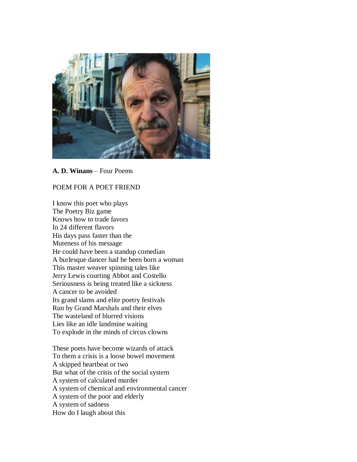

#### **A. D. Winans** – Four Poems

### POEM FOR A POET FRIEND

I know this poet who plays The Poetry Biz game Knows how to trade favors In 24 different flavors His days pass faster than the Muteness of his message He could have been a standup comedian A burlesque dancer had he been born a woman This master weaver spinning tales like Jerry Lewis courting Abbot and Costello Seriousness is being treated like a sickness A cancer to be avoided Its grand slams and elite poetry festivals Run by Grand Marshals and their elves The wasteland of blurred visions Lies like an idle landmine waiting To explode in the minds of circus clowns

These poets have become wizards of attack To them a crisis is a loose bowel movement A skipped heartbeat or two But what of the crisis of the social system A system of calculated murder A system of chemical and environmental cancer A system of the poor and elderly A system of sadness How do I laugh about this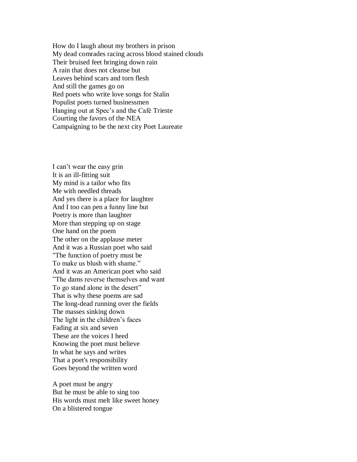How do I laugh about my brothers in prison My dead comrades racing across blood stained clouds Their bruised feet bringing down rain A rain that does not cleanse but Leaves behind scars and torn flesh And still the games go on Red poets who write love songs for Stalin Populist poets turned businessmen Hanging out at Spec's and the Café Trieste Courting the favors of the NEA Campaigning to be the next city Poet Laureate

I can't wear the easy grin It is an ill-fitting suit My mind is a tailor who fits Me with needled threads And yes there is a place for laughter And I too can pen a funny line but Poetry is more than laughter More than stepping up on stage One hand on the poem The other on the applause meter And it was a Russian poet who said "The function of poetry must be To make us blush with shame." And it was an American poet who said "The dams reverse themselves and want To go stand alone in the desert" That is why these poems are sad The long-dead running over the fields The masses sinking down The light in the children's faces Fading at six and seven These are the voices I heed Knowing the poet must believe In what he says and writes That a poet's responsibility Goes beyond the written word

A poet must be angry But he must be able to sing too His words must melt like sweet honey On a blistered tongue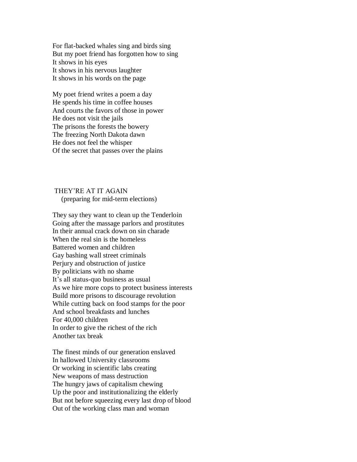For flat-backed whales sing and birds sing But my poet friend has forgotten how to sing It shows in his eyes It shows in his nervous laughter It shows in his words on the page

My poet friend writes a poem a day He spends his time in coffee houses And courts the favors of those in power He does not visit the jails The prisons the forests the bowery The freezing North Dakota dawn He does not feel the whisper Of the secret that passes over the plains

## THEY'RE AT IT AGAIN (preparing for mid-term elections)

They say they want to clean up the Tenderloin Going after the massage parlors and prostitutes In their annual crack down on sin charade When the real sin is the homeless Battered women and children Gay bashing wall street criminals Perjury and obstruction of justice By politicians with no shame It's all status-quo business as usual As we hire more cops to protect business interests Build more prisons to discourage revolution While cutting back on food stamps for the poor And school breakfasts and lunches For 40,000 children In order to give the richest of the rich Another tax break

The finest minds of our generation enslaved In hallowed University classrooms Or working in scientific labs creating New weapons of mass destruction The hungry jaws of capitalism chewing Up the poor and institutionalizing the elderly But not before squeezing every last drop of blood Out of the working class man and woman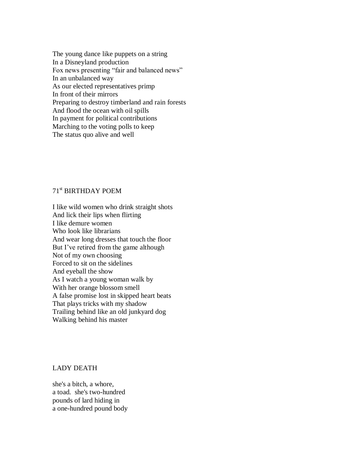The young dance like puppets on a string In a Disneyland production Fox news presenting "fair and balanced news" In an unbalanced way As our elected representatives primp In front of their mirrors Preparing to destroy timberland and rain forests And flood the ocean with oil spills In payment for political contributions Marching to the voting polls to keep The status quo alive and well

# 71st BIRTHDAY POEM

I like wild women who drink straight shots And lick their lips when flirting I like demure women Who look like librarians And wear long dresses that touch the floor But I've retired from the game although Not of my own choosing Forced to sit on the sidelines And eyeball the show As I watch a young woman walk by With her orange blossom smell A false promise lost in skipped heart beats That plays tricks with my shadow Trailing behind like an old junkyard dog Walking behind his master

#### LADY DEATH

she's a bitch, a whore, a toad. she's two-hundred pounds of lard hiding in a one-hundred pound body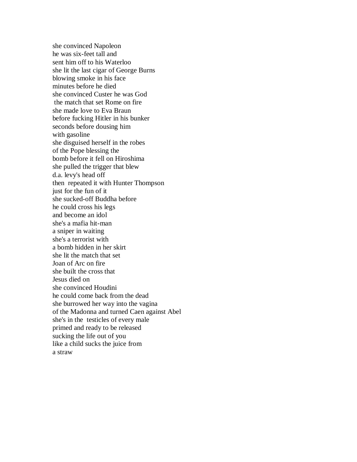she convinced Napoleon he was six-feet tall and sent him off to his Waterloo she lit the last cigar of George Burns blowing smoke in his face minutes before he died she convinced Custer he was God the match that set Rome on fire she made love to Eva Braun before fucking Hitler in his bunker seconds before dousing him with gasoline she disguised herself in the robes of the Pope blessing the bomb before it fell on Hiroshima she pulled the trigger that blew d.a. levy's head off then repeated it with Hunter Thompson just for the fun of it she sucked-off Buddha before he could cross his legs and become an idol she's a mafia hit-man a sniper in waiting she's a terrorist with a bomb hidden in her skirt she lit the match that set Joan of Arc on fire she built the cross that Jesus died on she convinced Houdini he could come back from the dead she burrowed her way into the vagina of the Madonna and turned Caen against Abel she's in the testicles of every male primed and ready to be released sucking the life out of you like a child sucks the juice from a straw